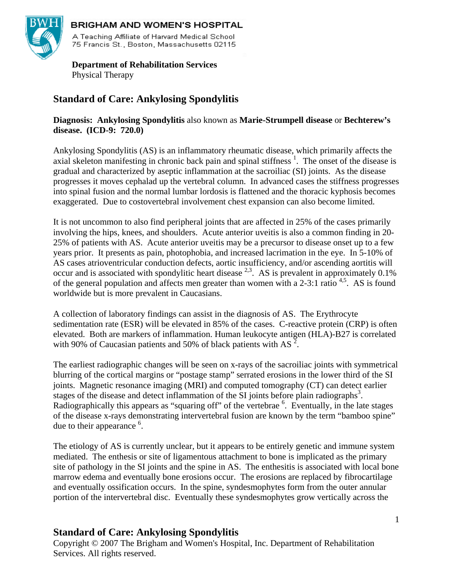

### **BRIGHAM AND WOMEN'S HOSPITAL**

A Teaching Affiliate of Harvard Medical School 75 Francis St., Boston, Massachusetts 02115

 **Department of Rehabilitation Services**  Physical Therapy

# **Standard of Care: Ankylosing Spondylitis**

**Diagnosis: Ankylosing Spondylitis** also known as **Marie-Strumpell disease** or **Bechterew's disease. (ICD-9: 720.0)** 

Ankylosing Spondylitis (AS) is an inflammatory rheumatic disease, which primarily affects the axial skeleton manifesting in chronic back pain and spinal stiffness<sup>1</sup>. The onset of the disease is gradual and characterized by aseptic inflammation at the sacroiliac (SI) joints. As the disease progresses it moves cephalad up the vertebral column. In advanced cases the stiffness progresses into spinal fusion and the normal lumbar lordosis is flattened and the thoracic kyphosis becomes exaggerated. Due to costovertebral involvement chest expansion can also become limited.

It is not uncommon to also find peripheral joints that are affected in 25% of the cases primarily involving the hips, knees, and shoulders. Acute anterior uveitis is also a common finding in 20- 25% of patients with AS. Acute anterior uveitis may be a precursor to disease onset up to a few years prior. It presents as pain, photophobia, and increased lacrimation in the eye. In 5-10% of AS cases atrioventricular conduction defects, aortic insufficiency, and/or ascending aortitis will occur and is associated with spondylitic heart disease  $2.3$ . AS is prevalent in approximately 0.1% of the general population and affects men greater than women with a 2-3:1 ratio <sup>4,5</sup>. AS is found worldwide but is more prevalent in Caucasians.

A collection of laboratory findings can assist in the diagnosis of AS. The Erythrocyte sedimentation rate (ESR) will be elevated in 85% of the cases. C-reactive protein (CRP) is often elevated. Both are markers of inflammation. Human leukocyte antigen (HLA)-B27 is correlated with 90% of Caucasian patients and 50% of black patients with AS  $2$ .

The earliest radiographic changes will be seen on x-rays of the sacroiliac joints with symmetrical blurring of the cortical margins or "postage stamp" serrated erosions in the lower third of the SI joints. Magnetic resonance imaging (MRI) and computed tomography (CT) can detect earlier stages of the disease and detect inflammation of the SI joints before plain radiographs<sup>3</sup>. Radiographically this appears as "squaring off" of the vertebrae <sup>6</sup>. Eventually, in the late stages of the disease x-rays demonstrating intervertebral fusion are known by the term "bamboo spine" due to their appearance <sup>6</sup>.

The etiology of AS is currently unclear, but it appears to be entirely genetic and immune system mediated. The enthesis or site of ligamentous attachment to bone is implicated as the primary site of pathology in the SI joints and the spine in AS. The enthesitis is associated with local bone marrow edema and eventually bone erosions occur. The erosions are replaced by fibrocartilage and eventually ossification occurs. In the spine, syndesmophytes form from the outer annular portion of the intervertebral disc. Eventually these syndesmophytes grow vertically across the

# **Standard of Care: Ankylosing Spondylitis**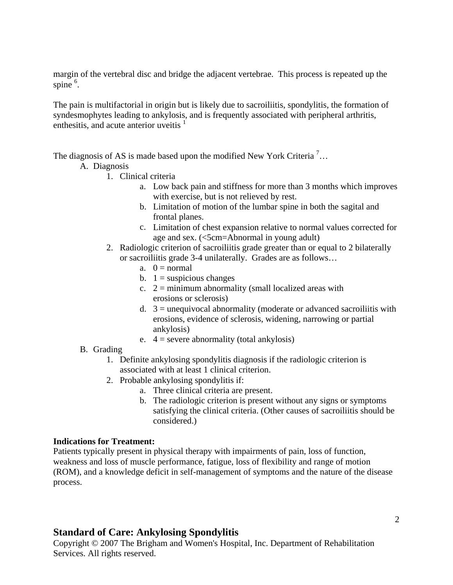margin of the vertebral disc and bridge the adjacent vertebrae. This process is repeated up the spine  $6$ .

The pain is multifactorial in origin but is likely due to sacroiliitis, spondylitis, the formation of syndesmophytes leading to ankylosis, and is frequently associated with peripheral arthritis, enthesitis, and acute anterior uveitis  $<sup>1</sup>$ </sup>

The diagnosis of AS is made based upon the modified New York Criteria<sup>7</sup>...

- A. Diagnosis
	- 1. Clinical criteria
		- a. Low back pain and stiffness for more than 3 months which improves with exercise, but is not relieved by rest.
		- b. Limitation of motion of the lumbar spine in both the sagital and frontal planes.
		- c. Limitation of chest expansion relative to normal values corrected for age and sex. (<5cm=Abnormal in young adult)
	- 2. Radiologic criterion of sacroiliitis grade greater than or equal to 2 bilaterally or sacroiliitis grade 3-4 unilaterally. Grades are as follows…
		- a.  $0 = normal$
		- b.  $1 =$  suspicious changes
		- c.  $2 =$  minimum abnormality (small localized areas with erosions or sclerosis)
		- d.  $3 =$  unequivocal abnormality (moderate or advanced sacroiliitis with erosions, evidence of sclerosis, widening, narrowing or partial ankylosis)
		- e.  $4 =$  severe abnormality (total ankylosis)
- B. Grading
	- 1. Definite ankylosing spondylitis diagnosis if the radiologic criterion is associated with at least 1 clinical criterion.
	- 2. Probable ankylosing spondylitis if:
		- a. Three clinical criteria are present.
		- b. The radiologic criterion is present without any signs or symptoms satisfying the clinical criteria. (Other causes of sacroiliitis should be considered.)

#### **Indications for Treatment:**

Patients typically present in physical therapy with impairments of pain, loss of function, weakness and loss of muscle performance, fatigue, loss of flexibility and range of motion (ROM), and a knowledge deficit in self-management of symptoms and the nature of the disease process.

### **Standard of Care: Ankylosing Spondylitis**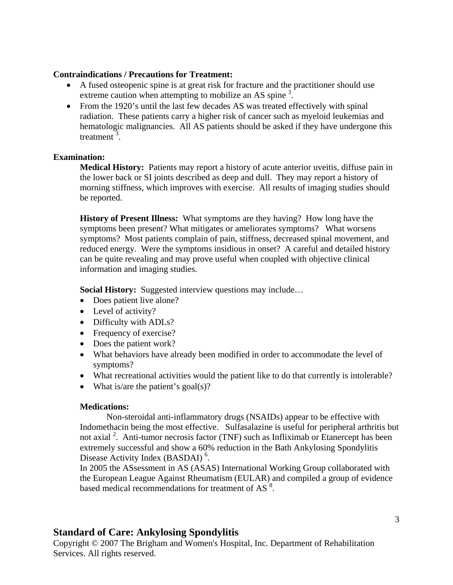#### **Contraindications / Precautions for Treatment:**

- A fused osteopenic spine is at great risk for fracture and the practitioner should use extreme caution when attempting to mobilize an AS spine<sup>3</sup>.
- From the 1920's until the last few decades AS was treated effectively with spinal radiation. These patients carry a higher risk of cancer such as myeloid leukemias and hematologic malignancies. All AS patients should be asked if they have undergone this treatment $3$ .

#### **Examination:**

**Medical History:** Patients may report a history of acute anterior uveitis, diffuse pain in the lower back or SI joints described as deep and dull. They may report a history of morning stiffness, which improves with exercise. All results of imaging studies should be reported.

**History of Present Illness:** What symptoms are they having? How long have the symptoms been present? What mitigates or ameliorates symptoms? What worsens symptoms? Most patients complain of pain, stiffness, decreased spinal movement, and reduced energy. Were the symptoms insidious in onset? A careful and detailed history can be quite revealing and may prove useful when coupled with objective clinical information and imaging studies.

**Social History:** Suggested interview questions may include…

- Does patient live alone?
- Level of activity?
- Difficulty with ADLs?
- Frequency of exercise?
- Does the patient work?
- What behaviors have already been modified in order to accommodate the level of symptoms?
- What recreational activities would the patient like to do that currently is intolerable?
- What is/are the patient's goal(s)?

#### **Medications:**

 Non-steroidal anti-inflammatory drugs (NSAIDs) appear to be effective with Indomethacin being the most effective. Sulfasalazine is useful for peripheral arthritis but not axial<sup>2</sup>. Anti-tumor necrosis factor (TNF) such as Infliximab or Etanercept has been extremely successful and show a 60% reduction in the Bath Ankylosing Spondylitis Disease Activity Index (BASDAI)<sup>6</sup>.

 In 2005 the ASsessment in AS (ASAS) International Working Group collaborated with the European League Against Rheumatism (EULAR) and compiled a group of evidence based medical recommendations for treatment of AS<sup>8</sup>.

# **Standard of Care: Ankylosing Spondylitis**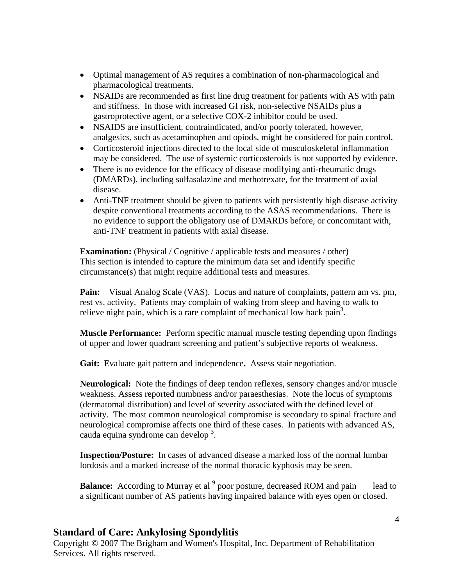- Optimal management of AS requires a combination of non-pharmacological and pharmacological treatments.
- NSAIDs are recommended as first line drug treatment for patients with AS with pain and stiffness. In those with increased GI risk, non-selective NSAIDs plus a gastroprotective agent, or a selective COX-2 inhibitor could be used.
- NSAIDS are insufficient, contraindicated, and/or poorly tolerated, however, analgesics, such as acetaminophen and opiods, might be considered for pain control.
- Corticosteroid injections directed to the local side of musculoskeletal inflammation may be considered. The use of systemic corticosteroids is not supported by evidence.
- There is no evidence for the efficacy of disease modifying anti-rheumatic drugs (DMARDs), including sulfasalazine and methotrexate, for the treatment of axial disease.
- Anti-TNF treatment should be given to patients with persistently high disease activity despite conventional treatments according to the ASAS recommendations. There is no evidence to support the obligatory use of DMARDs before, or concomitant with, anti-TNF treatment in patients with axial disease.

**Examination:** (Physical / Cognitive / applicable tests and measures / other) This section is intended to capture the minimum data set and identify specific circumstance(s) that might require additional tests and measures.

Pain: Visual Analog Scale (VAS). Locus and nature of complaints, pattern am vs. pm, rest vs. activity. Patients may complain of waking from sleep and having to walk to relieve night pain, which is a rare complaint of mechanical low back pain<sup>3</sup>.

**Muscle Performance:** Perform specific manual muscle testing depending upon findings of upper and lower quadrant screening and patient's subjective reports of weakness.

**Gait:** Evaluate gait pattern and independence**.** Assess stair negotiation.

**Neurological:** Note the findings of deep tendon reflexes, sensory changes and/or muscle weakness. Assess reported numbness and/or paraesthesias. Note the locus of symptoms (dermatomal distribution) and level of severity associated with the defined level of activity. The most common neurological compromise is secondary to spinal fracture and neurological compromise affects one third of these cases. In patients with advanced AS, cauda equina syndrome can develop<sup>3</sup>.

**Inspection/Posture:** In cases of advanced disease a marked loss of the normal lumbar lordosis and a marked increase of the normal thoracic kyphosis may be seen.

**Balance:** According to Murray et al <sup>9</sup> poor posture, decreased ROM and pain lead to a significant number of AS patients having impaired balance with eyes open or closed.

# **Standard of Care: Ankylosing Spondylitis**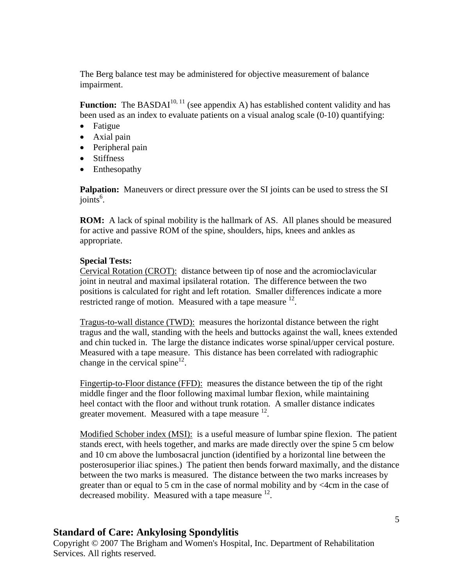The Berg balance test may be administered for objective measurement of balance impairment.

**Function:** The BASDAI<sup>10, 11</sup> (see appendix A) has established content validity and has been used as an index to evaluate patients on a visual analog scale (0-10) quantifying:

- Fatigue
- Axial pain
- Peripheral pain
- Stiffness
- Enthesopathy

**Palpation:** Maneuvers or direct pressure over the SI joints can be used to stress the SI joints<sup>6</sup>.

**ROM:** A lack of spinal mobility is the hallmark of AS. All planes should be measured for active and passive ROM of the spine, shoulders, hips, knees and ankles as appropriate.

#### **Special Tests:**

Cervical Rotation (CROT): distance between tip of nose and the acromioclavicular joint in neutral and maximal ipsilateral rotation. The difference between the two positions is calculated for right and left rotation. Smaller differences indicate a more restricted range of motion. Measured with a tape measure <sup>12</sup>.

Tragus-to-wall distance (TWD): measures the horizontal distance between the right tragus and the wall, standing with the heels and buttocks against the wall, knees extended and chin tucked in. The large the distance indicates worse spinal/upper cervical posture. Measured with a tape measure. This distance has been correlated with radiographic change in the cervical spine $12$ .

Fingertip-to-Floor distance (FFD): measures the distance between the tip of the right middle finger and the floor following maximal lumbar flexion, while maintaining heel contact with the floor and without trunk rotation. A smaller distance indicates greater movement. Measured with a tape measure  $^{12}$ .

Modified Schober index (MSI): is a useful measure of lumbar spine flexion. The patient stands erect, with heels together, and marks are made directly over the spine 5 cm below and 10 cm above the lumbosacral junction (identified by a horizontal line between the posterosuperior iliac spines.) The patient then bends forward maximally, and the distance between the two marks is measured. The distance between the two marks increases by greater than or equal to 5 cm in the case of normal mobility and by <4cm in the case of decreased mobility. Measured with a tape measure  $^{12}$ .

# **Standard of Care: Ankylosing Spondylitis**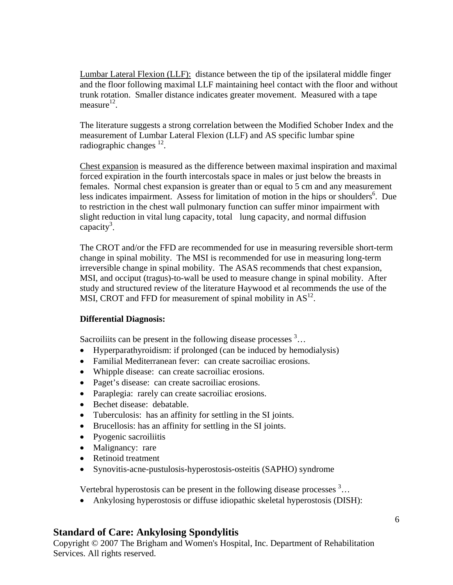Lumbar Lateral Flexion (LLF): distance between the tip of the ipsilateral middle finger and the floor following maximal LLF maintaining heel contact with the floor and without trunk rotation. Smaller distance indicates greater movement. Measured with a tape measure $^{12}$ .

The literature suggests a strong correlation between the Modified Schober Index and the measurement of Lumbar Lateral Flexion (LLF) and AS specific lumbar spine radiographic changes  $^{12}$ .

Chest expansion is measured as the difference between maximal inspiration and maximal forced expiration in the fourth intercostals space in males or just below the breasts in females. Normal chest expansion is greater than or equal to 5 cm and any measurement less indicates impairment. Assess for limitation of motion in the hips or shoulders<sup>6</sup>. Due to restriction in the chest wall pulmonary function can suffer minor impairment with slight reduction in vital lung capacity, total lung capacity, and normal diffusion  $capacity<sup>3</sup>$ .

 The CROT and/or the FFD are recommended for use in measuring reversible short-term change in spinal mobility. The MSI is recommended for use in measuring long-term irreversible change in spinal mobility. The ASAS recommends that chest expansion, MSI, and occiput (tragus)-to-wall be used to measure change in spinal mobility. After study and structured review of the literature Haywood et al recommends the use of the MSI, CROT and FFD for measurement of spinal mobility in  $AS^{12}$ .

#### **Differential Diagnosis:**

Sacroiliits can be present in the following disease processes  $3...$ 

- Hyperparathyroidism: if prolonged (can be induced by hemodialysis)
- Familial Mediterranean fever: can create sacroiliac erosions.
- Whipple disease: can create sacroiliac erosions.
- Paget's disease: can create sacroiliac erosions.
- Paraplegia: rarely can create sacroiliac erosions.
- Bechet disease: debatable.
- Tuberculosis: has an affinity for settling in the SI joints.
- Brucellosis: has an affinity for settling in the SI joints.
- Pyogenic sacroiliitis
- Malignancy: rare
- Retinoid treatment
- Synovitis-acne-pustulosis-hyperostosis-osteitis (SAPHO) syndrome

Vertebral hyperostosis can be present in the following disease processes  $3...$ 

• Ankylosing hyperostosis or diffuse idiopathic skeletal hyperostosis (DISH):

# **Standard of Care: Ankylosing Spondylitis**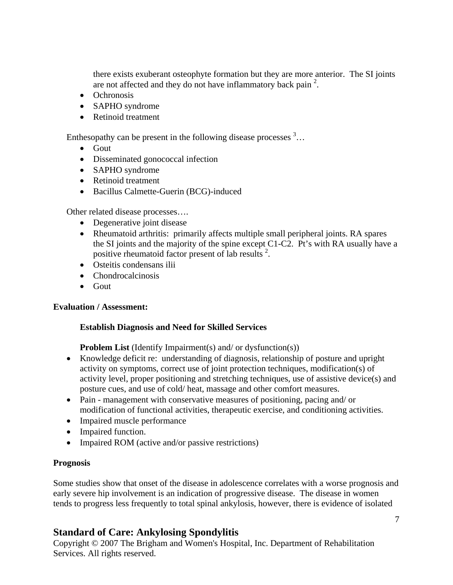there exists exuberant osteophyte formation but they are more anterior. The SI joints are not affected and they do not have inflammatory back pain<sup>2</sup>.

- Ochronosis
- SAPHO syndrome
- Retinoid treatment

Enthesopathy can be present in the following disease processes  $3...$ 

- Gout
- Disseminated gonococcal infection
- SAPHO syndrome
- Retinoid treatment
- Bacillus Calmette-Guerin (BCG)-induced

Other related disease processes….

- Degenerative joint disease
- Rheumatoid arthritis: primarily affects multiple small peripheral joints. RA spares the SI joints and the majority of the spine except C1-C2. Pt's with RA usually have a positive rheumatoid factor present of lab results<sup>2</sup>.
- Osteitis condensans ilii
- Chondrocalcinosis
- Gout

### **Evaluation / Assessment:**

#### **Establish Diagnosis and Need for Skilled Services**

**Problem List** (Identify Impairment(s) and/ or dysfunction(s))

- Knowledge deficit re: understanding of diagnosis, relationship of posture and upright activity on symptoms, correct use of joint protection techniques, modification(s) of activity level, proper positioning and stretching techniques, use of assistive device(s) and posture cues, and use of cold/ heat, massage and other comfort measures.
- Pain management with conservative measures of positioning, pacing and/ or modification of functional activities, therapeutic exercise, and conditioning activities.
- Impaired muscle performance
- Impaired function.
- Impaired ROM (active and/or passive restrictions)

### **Prognosis**

Some studies show that onset of the disease in adolescence correlates with a worse prognosis and early severe hip involvement is an indication of progressive disease. The disease in women tends to progress less frequently to total spinal ankylosis, however, there is evidence of isolated

# **Standard of Care: Ankylosing Spondylitis**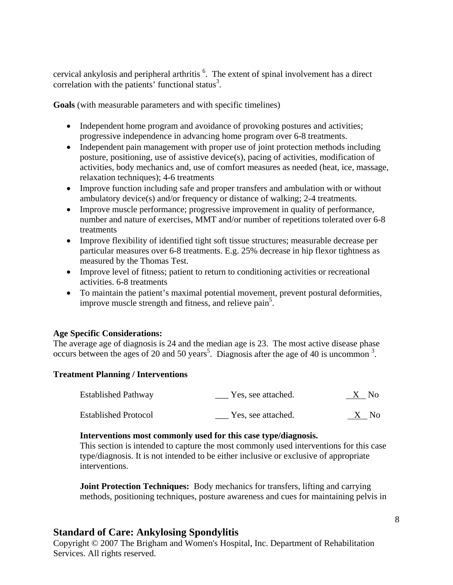cervical ankylosis and peripheral arthritis  $<sup>6</sup>$ . The extent of spinal involvement has a direct</sup> correlation with the patients' functional status<sup>3</sup>.

**Goals** (with measurable parameters and with specific timelines)

- Independent home program and avoidance of provoking postures and activities; progressive independence in advancing home program over 6-8 treatments.
- Independent pain management with proper use of joint protection methods including posture, positioning, use of assistive device(s), pacing of activities, modification of activities, body mechanics and, use of comfort measures as needed (heat, ice, massage, relaxation techniques); 4-6 treatments
- Improve function including safe and proper transfers and ambulation with or without ambulatory device(s) and/or frequency or distance of walking; 2-4 treatments.
- Improve muscle performance; progressive improvement in quality of performance, number and nature of exercises, MMT and/or number of repetitions tolerated over 6-8 treatments
- Improve flexibility of identified tight soft tissue structures; measurable decrease per particular measures over 6-8 treatments. E.g. 25% decrease in hip flexor tightness as measured by the Thomas Test.
- Improve level of fitness; patient to return to conditioning activities or recreational activities. 6-8 treatments
- To maintain the patient's maximal potential movement, prevent postural deformities, improve muscle strength and fitness, and relieve pain<sup>5</sup>.

#### **Age Specific Considerations:**

The average age of diagnosis is 24 and the median age is 23. The most active disease phase occurs between the ages of 20 and 50 years<sup>5</sup>. Diagnosis after the age of 40 is uncommon  $3$ .

#### **Treatment Planning / Interventions**

| <b>Established Pathway</b>  | Yes, see attached. | X No |  |
|-----------------------------|--------------------|------|--|
| <b>Established Protocol</b> | Yes, see attached. | X No |  |

#### **Interventions most commonly used for this case type/diagnosis.**

This section is intended to capture the most commonly used interventions for this case type/diagnosis. It is not intended to be either inclusive or exclusive of appropriate interventions.

**Joint Protection Techniques:** Body mechanics for transfers, lifting and carrying methods, positioning techniques, posture awareness and cues for maintaining pelvis in

### **Standard of Care: Ankylosing Spondylitis**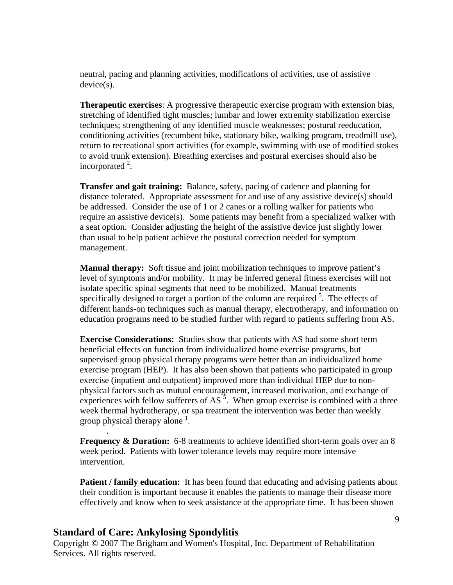neutral, pacing and planning activities, modifications of activities, use of assistive device(s).

**Therapeutic exercises**: A progressive therapeutic exercise program with extension bias, stretching of identified tight muscles; lumbar and lower extremity stabilization exercise techniques; strengthening of any identified muscle weaknesses; postural reeducation, conditioning activities (recumbent bike, stationary bike, walking program, treadmill use), return to recreational sport activities (for example, swimming with use of modified stokes to avoid trunk extension). Breathing exercises and postural exercises should also be incorporated  $2$ .

**Transfer and gait training:** Balance, safety, pacing of cadence and planning for distance tolerated. Appropriate assessment for and use of any assistive device(s) should be addressed. Consider the use of 1 or 2 canes or a rolling walker for patients who require an assistive device(s). Some patients may benefit from a specialized walker with a seat option. Consider adjusting the height of the assistive device just slightly lower than usual to help patient achieve the postural correction needed for symptom management.

**Manual therapy:** Soft tissue and joint mobilization techniques to improve patient's level of symptoms and/or mobility. It may be inferred general fitness exercises will not isolate specific spinal segments that need to be mobilized. Manual treatments specifically designed to target a portion of the column are required  $5$ . The effects of different hands-on techniques such as manual therapy, electrotherapy, and information on education programs need to be studied further with regard to patients suffering from AS.

**Exercise Considerations:** Studies show that patients with AS had some short term beneficial effects on function from individualized home exercise programs, but supervised group physical therapy programs were better than an individualized home exercise program (HEP). It has also been shown that patients who participated in group exercise (inpatient and outpatient) improved more than individual HEP due to nonphysical factors such as mutual encouragement, increased motivation, and exchange of experiences with fellow sufferers of  $AS^5$ . When group exercise is combined with a three week thermal hydrotherapy, or spa treatment the intervention was better than weekly group physical therapy alone  $<sup>1</sup>$ .</sup>

**Frequency & Duration:** 6-8 treatments to achieve identified short-term goals over an 8 week period. Patients with lower tolerance levels may require more intensive intervention.

**Patient / family education:** It has been found that educating and advising patients about their condition is important because it enables the patients to manage their disease more effectively and know when to seek assistance at the appropriate time. It has been shown

#### **Standard of Care: Ankylosing Spondylitis**

.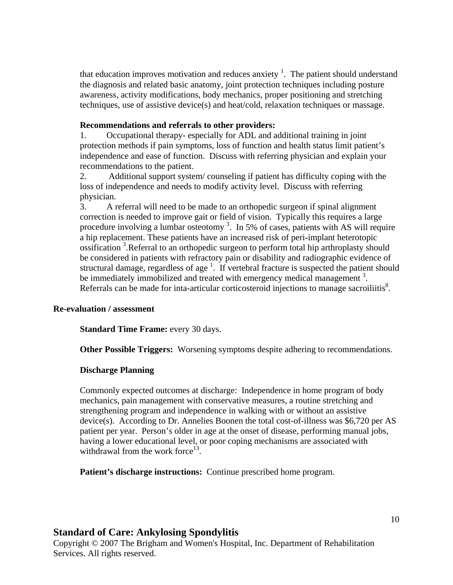that education improves motivation and reduces anxiety  $\frac{1}{1}$ . The patient should understand the diagnosis and related basic anatomy, joint protection techniques including posture awareness, activity modifications, body mechanics, proper positioning and stretching techniques, use of assistive device(s) and heat/cold, relaxation techniques or massage.

#### **Recommendations and referrals to other providers:**

1. Occupational therapy- especially for ADL and additional training in joint protection methods if pain symptoms, loss of function and health status limit patient's independence and ease of function. Discuss with referring physician and explain your recommendations to the patient.

2. Additional support system/ counseling if patient has difficulty coping with the loss of independence and needs to modify activity level. Discuss with referring physician.

3. A referral will need to be made to an orthopedic surgeon if spinal alignment correction is needed to improve gait or field of vision. Typically this requires a large procedure involving a lumbar osteotomy<sup>3</sup>. In 5% of cases, patients with AS will require a hip replacement. These patients have an increased risk of peri-implant heterotopic ossification 3 .Referral to an orthopedic surgeon to perform total hip arthroplasty should be considered in patients with refractory pain or disability and radiographic evidence of structural damage, regardless of age<sup>1</sup>. If vertebral fracture is suspected the patient should be immediately immobilized and treated with emergency medical management<sup>3</sup>. Referrals can be made for inta-articular corticosteroid injections to manage sacroiliitis $\delta$ .

#### **Re-evaluation / assessment**

**Standard Time Frame: every 30 days.** 

**Other Possible Triggers:** Worsening symptoms despite adhering to recommendations.

#### **Discharge Planning**

Commonly expected outcomes at discharge: Independence in home program of body mechanics, pain management with conservative measures, a routine stretching and strengthening program and independence in walking with or without an assistive device(s). According to Dr. Annelies Boonen the total cost-of-illness was \$6,720 per AS patient per year. Person's older in age at the onset of disease, performing manual jobs, having a lower educational level, or poor coping mechanisms are associated with withdrawal from the work force<sup>13</sup>.

 **Patient's discharge instructions:** Continue prescribed home program.

### **Standard of Care: Ankylosing Spondylitis**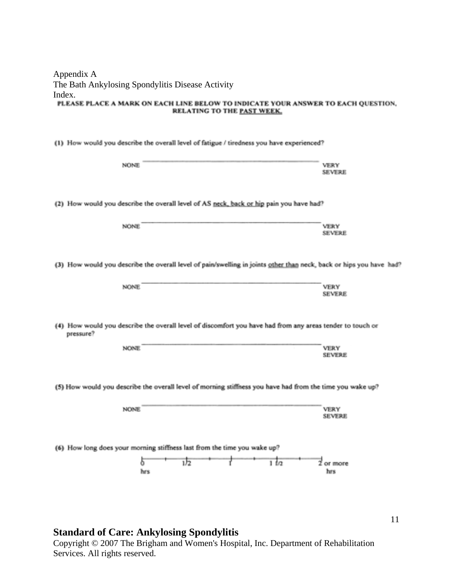| Appendix A                                                                       |
|----------------------------------------------------------------------------------|
| The Bath Ankylosing Spondylitis Disease Activity                                 |
| Index.                                                                           |
| PLEASE PLACE A MARK ON EACH LINE BELOW TO INDICATE YOUR ANSWER TO EACH QUESTION. |
| RELATING TO THE PAST WEEK.                                                       |

|  |  |  |  | (1) How would you describe the overall level of fatigue / tiredness you have experienced? |  |
|--|--|--|--|-------------------------------------------------------------------------------------------|--|
|--|--|--|--|-------------------------------------------------------------------------------------------|--|

| NONE                                                                                                      |                                                                                                                     | VERY<br><b>SEVERE</b>        |  |  |  |  |
|-----------------------------------------------------------------------------------------------------------|---------------------------------------------------------------------------------------------------------------------|------------------------------|--|--|--|--|
|                                                                                                           | (2) How would you describe the overall level of AS neck, back or hip pain you have had?                             |                              |  |  |  |  |
| NONE                                                                                                      |                                                                                                                     | <b>VERY</b><br><b>SEVERE</b> |  |  |  |  |
|                                                                                                           | (3) How would you describe the overall level of pain/swelling in joints other than neck, back or hips you have had? |                              |  |  |  |  |
| NONE.                                                                                                     |                                                                                                                     | <b>VERY</b><br><b>SEVERE</b> |  |  |  |  |
| pressure?                                                                                                 | (4) How would you describe the overall level of discomfort you have had from any areas tender to touch or           |                              |  |  |  |  |
| <b>NONE</b>                                                                                               |                                                                                                                     | <b>VERY</b><br><b>SEVERE</b> |  |  |  |  |
| (5) How would you describe the overall level of morning stiffness you have had from the time you wake up? |                                                                                                                     |                              |  |  |  |  |
| <b>NONE</b>                                                                                               |                                                                                                                     | <b>VERY</b><br><b>SEVERE</b> |  |  |  |  |
| (6) How long does your morning stiffness last from the time you wake up?                                  |                                                                                                                     |                              |  |  |  |  |
|                                                                                                           | 1/2<br>$1 + 2$<br>hrs                                                                                               | $\vec{z}$ or more<br>hrs     |  |  |  |  |

### **Standard of Care: Ankylosing Spondylitis**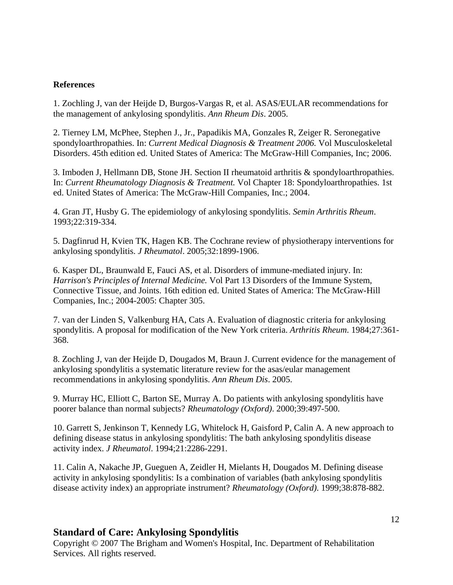#### **References**

1. Zochling J, van der Heijde D, Burgos-Vargas R, et al. ASAS/EULAR recommendations for the management of ankylosing spondylitis. *Ann Rheum Dis*. 2005.

2. Tierney LM, McPhee, Stephen J., Jr., Papadikis MA, Gonzales R, Zeiger R. Seronegative spondyloarthropathies. In: *Current Medical Diagnosis & Treatment 2006.* Vol Musculoskeletal Disorders. 45th edition ed. United States of America: The McGraw-Hill Companies, Inc; 2006.

3. Imboden J, Hellmann DB, Stone JH. Section II rheumatoid arthritis & spondyloarthropathies. In: *Current Rheumatology Diagnosis & Treatment.* Vol Chapter 18: Spondyloarthropathies. 1st ed. United States of America: The McGraw-Hill Companies, Inc.; 2004.

4. Gran JT, Husby G. The epidemiology of ankylosing spondylitis. *Semin Arthritis Rheum*. 1993;22:319-334.

5. Dagfinrud H, Kvien TK, Hagen KB. The Cochrane review of physiotherapy interventions for ankylosing spondylitis. *J Rheumatol*. 2005;32:1899-1906.

6. Kasper DL, Braunwald E, Fauci AS, et al. Disorders of immune-mediated injury. In: *Harrison's Principles of Internal Medicine.* Vol Part 13 Disorders of the Immune System, Connective Tissue, and Joints. 16th edition ed. United States of America: The McGraw-Hill Companies, Inc.; 2004-2005: Chapter 305.

7. van der Linden S, Valkenburg HA, Cats A. Evaluation of diagnostic criteria for ankylosing spondylitis. A proposal for modification of the New York criteria. *Arthritis Rheum*. 1984;27:361- 368.

8. Zochling J, van der Heijde D, Dougados M, Braun J. Current evidence for the management of ankylosing spondylitis a systematic literature review for the asas/eular management recommendations in ankylosing spondylitis. *Ann Rheum Dis*. 2005.

9. Murray HC, Elliott C, Barton SE, Murray A. Do patients with ankylosing spondylitis have poorer balance than normal subjects? *Rheumatology (Oxford)*. 2000;39:497-500.

10. Garrett S, Jenkinson T, Kennedy LG, Whitelock H, Gaisford P, Calin A. A new approach to defining disease status in ankylosing spondylitis: The bath ankylosing spondylitis disease activity index. *J Rheumatol*. 1994;21:2286-2291.

11. Calin A, Nakache JP, Gueguen A, Zeidler H, Mielants H, Dougados M. Defining disease activity in ankylosing spondylitis: Is a combination of variables (bath ankylosing spondylitis disease activity index) an appropriate instrument? *Rheumatology (Oxford)*. 1999;38:878-882.

### **Standard of Care: Ankylosing Spondylitis**